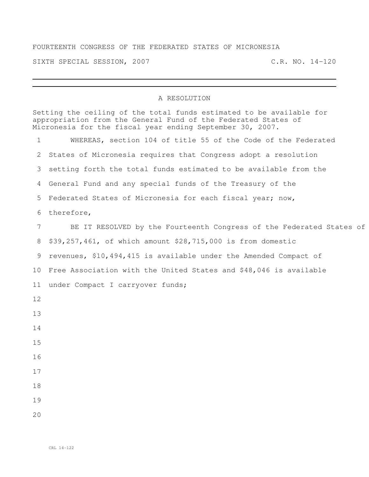## FOURTEENTH CONGRESS OF THE FEDERATED STATES OF MICRONESIA

SIXTH SPECIAL SESSION, 2007 C.R. NO. 14-120

## A RESOLUTION

|                 | Setting the ceiling of the total funds estimated to be available for<br>appropriation from the General Fund of the Federated States of<br>Micronesia for the fiscal year ending September 30, 2007. |  |
|-----------------|-----------------------------------------------------------------------------------------------------------------------------------------------------------------------------------------------------|--|
| $\mathbf{1}$    | WHEREAS, section 104 of title 55 of the Code of the Federated                                                                                                                                       |  |
|                 | 2 States of Micronesia requires that Congress adopt a resolution                                                                                                                                    |  |
|                 | 3 setting forth the total funds estimated to be available from the                                                                                                                                  |  |
|                 | 4 General Fund and any special funds of the Treasury of the                                                                                                                                         |  |
|                 | 5 Federated States of Micronesia for each fiscal year; now,                                                                                                                                         |  |
|                 | 6 therefore,                                                                                                                                                                                        |  |
| $7\phantom{.0}$ | BE IT RESOLVED by the Fourteenth Congress of the Federated States of                                                                                                                                |  |
|                 | 8 \$39,257,461, of which amount \$28,715,000 is from domestic                                                                                                                                       |  |
|                 | 9 revenues, \$10,494,415 is available under the Amended Compact of                                                                                                                                  |  |
|                 | 10 Free Association with the United States and \$48,046 is available                                                                                                                                |  |
|                 | 11 under Compact I carryover funds;                                                                                                                                                                 |  |
| 12              |                                                                                                                                                                                                     |  |
| 13              |                                                                                                                                                                                                     |  |
| 14              |                                                                                                                                                                                                     |  |
| 15              |                                                                                                                                                                                                     |  |
| 16              |                                                                                                                                                                                                     |  |
| 17              |                                                                                                                                                                                                     |  |
| 18              |                                                                                                                                                                                                     |  |
| 19              |                                                                                                                                                                                                     |  |
| 20              |                                                                                                                                                                                                     |  |